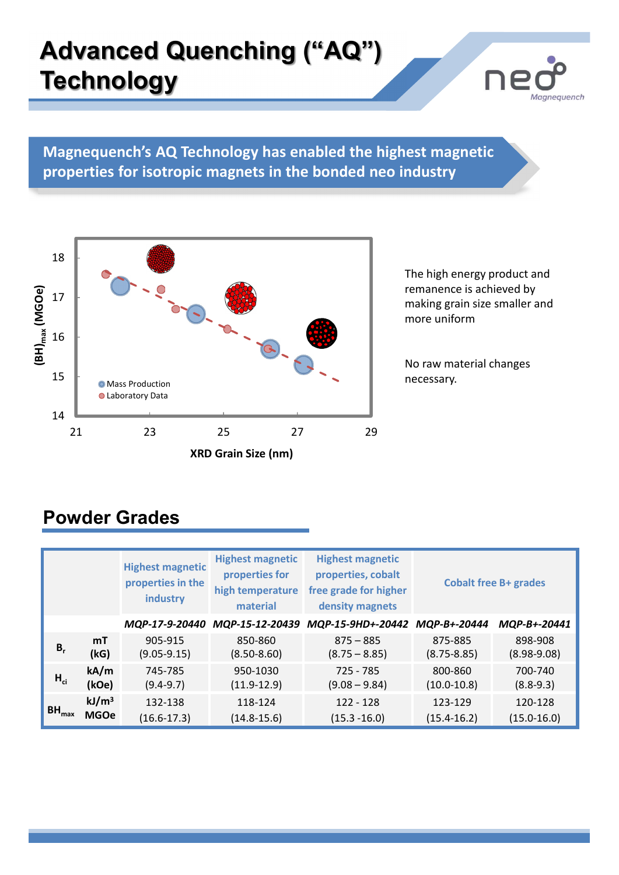## Advanced Quenching ("AQ") **Technology**



Magnequench's AQ Technology has enabled the highest magnetic properties for isotropic magnets in the bonded neo industry



The high energy product and remanence is achieved by making grain size smaller and more uniform

## Powder Grades

| 15<br>14 |               | <b>O</b> Mass Production<br><b>O</b> Laboratory Data                                                                                                                                                            | $\sim$ $\frac{1}{\sqrt{2}}$ |                                                               | No raw material changes<br>necessary. |                            |
|----------|---------------|-----------------------------------------------------------------------------------------------------------------------------------------------------------------------------------------------------------------|-----------------------------|---------------------------------------------------------------|---------------------------------------|----------------------------|
| 21       |               | 23                                                                                                                                                                                                              | 25<br>27                    | 29                                                            |                                       |                            |
|          |               |                                                                                                                                                                                                                 | <b>XRD Grain Size (nm)</b>  |                                                               |                                       |                            |
|          |               |                                                                                                                                                                                                                 |                             |                                                               |                                       |                            |
|          |               | <b>Powder Grades</b>                                                                                                                                                                                            |                             |                                                               |                                       |                            |
|          |               |                                                                                                                                                                                                                 |                             |                                                               |                                       |                            |
|          |               | <b>Highest magnetic</b><br><b>Highest magnetic</b><br>properties for<br>properties, cobalt<br><b>Cobalt free B+ grades</b><br>high temperature free grade for higher<br>industry<br>material<br>density magnets |                             |                                                               |                                       |                            |
|          |               | <b>Highest magnetic</b><br>properties in the                                                                                                                                                                    |                             |                                                               |                                       |                            |
|          |               |                                                                                                                                                                                                                 |                             | MQP-17-9-20440 MQP-15-12-20439 MQP-15-9HD+-20442 MQP-B+-20444 |                                       | MQP-B+-20441               |
| $B_r$    | mT<br>(kG)    | 905-915<br>$(9.05 - 9.15)$                                                                                                                                                                                      | 850-860<br>$(8.50 - 8.60)$  | $875 - 885$<br>$(8.75 - 8.85)$                                | 875-885<br>$(8.75 - 8.85)$            | 898-908<br>$(8.98 - 9.08)$ |
| $H_{ci}$ | kA/m<br>(kOe) | 745-785<br>$(9.4 - 9.7)$                                                                                                                                                                                        | 950-1030<br>$(11.9-12.9)$   | 725 - 785<br>$(9.08 - 9.84)$                                  | 800-860<br>$(10.0 - 10.8)$            | 700-740<br>$(8.8-9.3)$     |